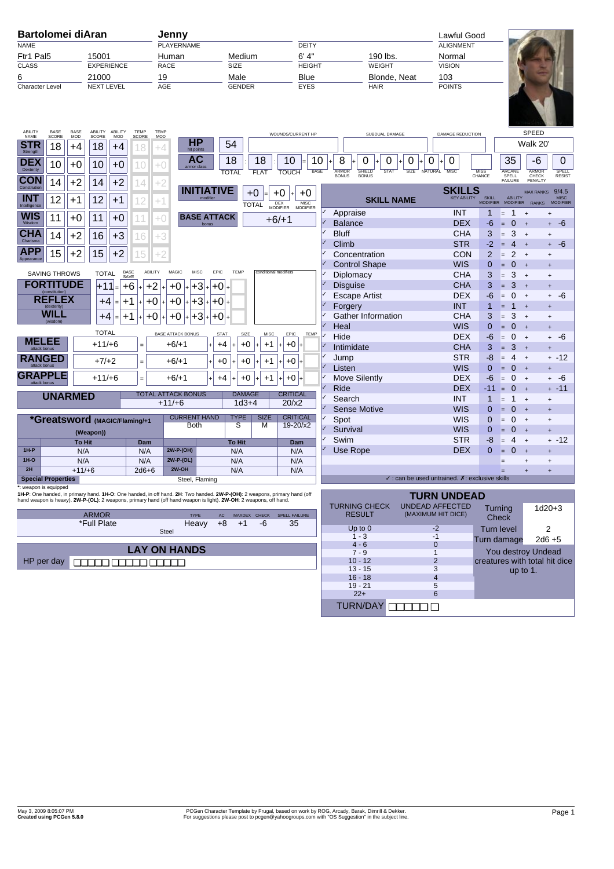| <b>Bartolomei diAran</b>                                                                                                                                                                                                                       |                            |                 | Jenny                                 |                                               |                                                                                               | Lawful Good                  |                                              |                                                                 |                       |                                          |                                                                         |
|------------------------------------------------------------------------------------------------------------------------------------------------------------------------------------------------------------------------------------------------|----------------------------|-----------------|---------------------------------------|-----------------------------------------------|-----------------------------------------------------------------------------------------------|------------------------------|----------------------------------------------|-----------------------------------------------------------------|-----------------------|------------------------------------------|-------------------------------------------------------------------------|
| <b>NAME</b>                                                                                                                                                                                                                                    |                            |                 | <b>PLAYERNAME</b>                     |                                               |                                                                                               | <b>DEITY</b>                 |                                              |                                                                 | <b>ALIGNMENT</b>      |                                          |                                                                         |
| Ftr1 Pal5<br>15001                                                                                                                                                                                                                             |                            |                 | Human                                 | Medium                                        | 6' 4''                                                                                        |                              | 190 lbs.                                     | Normal                                                          |                       |                                          |                                                                         |
| <b>CLASS</b><br><b>EXPERIENCE</b>                                                                                                                                                                                                              |                            |                 | <b>RACE</b>                           | <b>SIZE</b>                                   | <b>HEIGHT</b>                                                                                 |                              | <b>WEIGHT</b>                                | <b>VISION</b>                                                   |                       |                                          |                                                                         |
| 6<br>21000                                                                                                                                                                                                                                     |                            |                 | 19                                    | Male                                          | <b>Blue</b>                                                                                   |                              | Blonde, Neat                                 | 103                                                             |                       |                                          |                                                                         |
| <b>Character Level</b>                                                                                                                                                                                                                         | <b>NEXT LEVEL</b>          |                 | AGE                                   | <b>GENDER</b>                                 |                                                                                               | <b>EYES</b><br><b>HAIR</b>   |                                              |                                                                 | <b>POINTS</b>         |                                          |                                                                         |
| ABILITY<br>BASE<br>BASE                                                                                                                                                                                                                        | ABILITY<br>ABILITY         | <b>TEMP</b>     | TEMP                                  |                                               |                                                                                               |                              |                                              |                                                                 |                       |                                          |                                                                         |
| NAME<br><b>SCORE</b><br><b>MOD</b>                                                                                                                                                                                                             | <b>SCORE</b><br><b>MOD</b> | SCORE           | <b>MOD</b><br><b>HP</b>               |                                               | WOUNDS/CURRENT HP                                                                             |                              | SUBDUAL DAMAGE                               | <b>DAMAGE REDUCTION</b>                                         |                       |                                          | SPEED                                                                   |
| STR<br>18<br>+4<br>Strength                                                                                                                                                                                                                    | 18                         | +4<br>18        | +4<br>hit points                      | 54                                            |                                                                                               |                              |                                              |                                                                 |                       |                                          | Walk 20'                                                                |
| <b>DEX</b><br>10<br>$+0$                                                                                                                                                                                                                       | 10                         | $+0$<br>10      | AС<br>$^{+0}$<br>armor clas           | 18<br>18                                      | 10<br>10                                                                                      | 8                            | 0<br>0                                       | 0<br>0<br>0                                                     |                       | 35                                       | -6<br>$\mathbf{0}$                                                      |
| Dexterity<br><b>CON</b>                                                                                                                                                                                                                        |                            |                 |                                       | <b>TOTAL</b><br><b>FLAT</b>                   | <b>BASE</b><br><b>TOUCH</b>                                                                   | <b>ARMOR</b><br><b>BONUS</b> | SHIELD<br><b>STAT</b><br><b>BONUS</b>        | <b>MISC</b><br><b>SIZE</b><br><b>NATURAL</b>                    | <b>MISS</b><br>CHANCE | <b>ARCANE</b><br>SPELL<br><b>FAILURE</b> | <b>ARMOR</b><br>SPELL<br>CHECK<br><b>RESIST</b><br>PENALTY              |
| $+2$<br>14<br>Constitution                                                                                                                                                                                                                     | $+2$<br>14                 | 14              | $+2$                                  | <b>INITIATIVE</b>                             |                                                                                               |                              |                                              | <b>SKILLS</b>                                                   |                       |                                          | 9/4.5<br><b>MAX RANKS</b>                                               |
| <b>INT</b><br>12<br>$+1$<br>Intelligence                                                                                                                                                                                                       | 12<br>$+1$                 | 12              | $^{+1}$                               | $+0$<br><b>TOTAL</b>                          | $+0$<br>$+0$<br>DEX<br>MODIFIER<br><b>MISC</b>                                                |                              | <b>SKILL NAME</b>                            | <b>KEY ABILITY</b>                                              | SKILL<br>MODIFIER     | ABILITY<br>MODIFIER                      | <b>MISC</b><br><b>MODIFIER</b><br>RANKS                                 |
| WIS                                                                                                                                                                                                                                            |                            |                 |                                       | <b>BASE ATTACK</b>                            | <b>MODIFIER</b>                                                                               | Appraise                     |                                              | <b>INT</b>                                                      | 1                     | $\mathbf{1}$<br>=                        | $\overline{+}$<br>$\ddot{}$                                             |
| 11<br>$+0$<br>Wisdom                                                                                                                                                                                                                           | 11<br>$+0$                 | 11              | $+0$                                  | bonus                                         | $+6/+1$                                                                                       | <b>Balance</b>               |                                              | <b>DEX</b>                                                      | -6                    | $\overline{0}$<br>$=$                    | -6<br>$+$<br>$+$                                                        |
| <b>CHA</b><br>14<br>$+2$                                                                                                                                                                                                                       | 16<br>$+3$                 | 16              | +3                                    |                                               |                                                                                               | <b>Bluff</b>                 |                                              | <b>CHA</b>                                                      | 3                     | 3<br>E.                                  | $\ddot{}$<br>$\ddot{}$                                                  |
| Charisma                                                                                                                                                                                                                                       |                            |                 |                                       |                                               |                                                                                               | Climb                        |                                              | <b>STR</b>                                                      | -2                    | $\overline{4}$<br>$=$                    | -6<br>$\ddot{+}$<br>$\ddot{}$                                           |
| <b>APP</b><br>15<br>$+2$<br>Appearance                                                                                                                                                                                                         | 15<br>$+2$                 | 15              |                                       |                                               |                                                                                               | Concentration<br><b>CON</b>  |                                              |                                                                 | $\overline{2}$        | 2<br>$=$                                 | $+$<br>$\ddot{}$                                                        |
|                                                                                                                                                                                                                                                |                            | ABILITY<br>BASE | MAGIC                                 | MISC<br>EPIC<br>TEMP<br>conditional modifiers |                                                                                               | <b>Control Shape</b>         |                                              | <b>WIS</b>                                                      | $\mathbf 0$           | $\mathbf{0}$<br>$=$                      | $+$<br>$\ddot{}$                                                        |
| <b>SAVING THROWS</b>                                                                                                                                                                                                                           | <b>TOTAL</b>               | SAVE            |                                       |                                               |                                                                                               | Diplomacy                    |                                              | <b>CHA</b>                                                      | 3                     | 3<br>E.                                  | $+$<br>$\begin{array}{c} + \end{array}$                                 |
| <b>FORTITUDE</b>                                                                                                                                                                                                                               | l+11l⊧                     | $+6$<br>$+2$    | +0                                    | +3<br>$+0$                                    |                                                                                               | <b>Disguise</b>              |                                              | <b>CHA</b>                                                      | 3                     | 3<br>$=$                                 | $+$<br>$\ddot{}$                                                        |
| <b>REFLEX</b>                                                                                                                                                                                                                                  | +4                         | $+1$<br>$+0$    | $+0$                                  | $+3$<br>$+0$                                  |                                                                                               | <b>Escape Artist</b>         |                                              | <b>DEX</b><br><b>INT</b>                                        | -6<br>1               | $\mathbf 0$<br>E.<br>$\mathbf{1}$        | -6<br>$+$<br>$\ddot{}$                                                  |
| <i><b>(dexterity)</b></i><br>WILL                                                                                                                                                                                                              | $+4$                       |                 |                                       |                                               |                                                                                               | Forgery                      | Gather Information                           | <b>CHA</b>                                                      | 3                     | Е<br>3                                   | $\ddot{+}$<br>$\ddot{}$<br>$\overline{+}$                               |
| (wisdom)                                                                                                                                                                                                                                       |                            | $+0$<br>+1      | $+0$                                  | +3<br>+0                                      |                                                                                               | Heal                         |                                              | <b>WIS</b>                                                      | $\mathbf 0$           | $=$<br>$\overline{0}$<br>$=$             | $\begin{array}{c} + \end{array}$<br>$\overline{+}$<br>$\ddot{}$         |
|                                                                                                                                                                                                                                                | <b>TOTAL</b>               |                 | <b>BASE ATTACK BONUS</b>              | <b>STAT</b><br><b>MISC</b><br>SIZE            | EPIC<br><b>TEMP</b>                                                                           | Hide                         |                                              | <b>DEX</b>                                                      | -6                    | $\mathbf 0$<br>E.                        | -6<br>$+$<br>$+$                                                        |
| MELEE                                                                                                                                                                                                                                          | $+11/+6$                   | $=$             | $+6/+1$                               | $+4$<br>+0<br>$+1$                            | $+0$                                                                                          | Intimidate                   |                                              | <b>CHA</b>                                                      | 3                     | 3<br>$=$                                 | $\ddot{}$<br>$\ddot{}$                                                  |
| <b>RANGED</b>                                                                                                                                                                                                                                  |                            |                 |                                       |                                               |                                                                                               | Jump                         |                                              | <b>STR</b>                                                      | -8                    | 4<br>E                                   | + -12<br>$\ddot{}$                                                      |
| attack honus                                                                                                                                                                                                                                   | $+7/+2$                    | $=$             | $+6/+1$                               | $+0$<br>+0<br>$+1$                            | +0                                                                                            | Listen                       |                                              | <b>WIS</b>                                                      | $\Omega$              | $\mathbf{0}$<br>Е                        | $\ddot{+}$<br>$\ddot{}$                                                 |
| <b>GRAPPLE</b><br>attack bonus                                                                                                                                                                                                                 | $+11/+6$                   | $=$             | $+6/+1$                               | $+4$<br>+0<br>$+1$                            | $+0$                                                                                          | Move Silently                |                                              | <b>DEX</b>                                                      | -6                    | $\mathbf{0}$<br>E.                       | -6<br>$+$<br>$\ddot{}$                                                  |
|                                                                                                                                                                                                                                                |                            |                 |                                       |                                               |                                                                                               | Ride                         |                                              | <b>DEX</b>                                                      | -11                   | $\mathbf{0}$<br>$=$                      | $-11$<br>$+$<br>$+$                                                     |
| <b>UNARMED</b>                                                                                                                                                                                                                                 |                            |                 | <b>TOTAL ATTACK BONUS</b><br>$+11/+6$ | <b>DAMAGE</b><br>$1d3+4$                      | <b>CRITICAL</b><br>20/x2                                                                      | Search                       |                                              | <b>INT</b>                                                      | 1                     | $\mathbf{1}$<br>$=$                      | $+$<br>$\begin{array}{c} + \end{array}$                                 |
|                                                                                                                                                                                                                                                |                            |                 |                                       |                                               |                                                                                               | <b>Sense Motive</b>          |                                              | <b>WIS</b>                                                      | $\mathbf 0$           | $\mathbf{0}$<br>$=$                      | $+$<br>$\ddot{}$                                                        |
| *Greatsword (MAGIC/Flaming/+1                                                                                                                                                                                                                  |                            |                 | <b>CURRENT HAND</b><br><b>Both</b>    | <b>TYPE</b><br><b>SIZE</b><br>S<br>м          | <b>CRITICAL</b><br>19-20/x2                                                                   | Spot                         |                                              | <b>WIS</b>                                                      | $\mathbf 0$           | $\mathbf 0$<br>$=$                       | $\begin{array}{c} + \end{array}$<br>$\overline{+}$                      |
|                                                                                                                                                                                                                                                | (Weapon))                  |                 |                                       |                                               |                                                                                               | Survival                     |                                              | <b>WIS</b>                                                      | 0                     | $\mathbf{0}$<br>Е                        | $\overline{+}$<br>$\ddot{}$                                             |
|                                                                                                                                                                                                                                                | To Hit                     | Dam             |                                       | To Hit                                        | Dam                                                                                           | Swim                         |                                              | <b>STR</b>                                                      | -8                    | 4<br>$=$                                 | + -12<br>$^{+}$                                                         |
| $1H-P$<br>$1H-O$                                                                                                                                                                                                                               | N/A                        | N/A             | 2W-P-(OH)<br>2W-P-(OL)                | N/A                                           | N/A                                                                                           | Use Rope                     |                                              | <b>DEX</b>                                                      | $\Omega$              | $\Omega$<br>$=$                          | $\ddot{}$<br>$\ddot{}$                                                  |
| 2H                                                                                                                                                                                                                                             | N/A<br>$+11/+6$            | N/A<br>$2d6+6$  | 2W-OH                                 | N/A<br>N/A                                    | N/A<br>N/A                                                                                    |                              |                                              |                                                                 |                       | =                                        | $\begin{array}{c} + \end{array}$<br>$\ddot{}$<br>$\ddot{}$<br>$\ddot{}$ |
| <b>Special Properties</b>                                                                                                                                                                                                                      |                            |                 |                                       | Steel, Flaming                                |                                                                                               |                              |                                              | $\checkmark$ : can be used untrained. $\chi$ : exclusive skills |                       |                                          |                                                                         |
| reapon is equippe                                                                                                                                                                                                                              |                            |                 |                                       |                                               |                                                                                               |                              |                                              |                                                                 |                       |                                          |                                                                         |
| 1H-P: One handed, in primary hand. 1H-O: One handed, in off hand. 2H: Two handed. 2W-P-(OH): 2 weapons, primary hand (off<br>hand weapon is heavy). 2W-P-(OL): 2 weapons, primary hand (off hand weapon is light). 2W-OH: 2 weapons, off hand. |                            |                 |                                       |                                               |                                                                                               |                              | <b>TURN UNDEAD</b>                           |                                                                 |                       |                                          |                                                                         |
| <b>ARMOR</b><br><b>TYPE</b><br>SPELL FAILURE<br>AC<br>MAXDEX CHECK                                                                                                                                                                             |                            |                 |                                       |                                               | <b>TURNING CHECK</b><br><b>RESULT</b>                                                         |                              | <b>UNDEAD AFFECTED</b><br>(MAXIMUM HIT DICE) | Turning                                                         |                       | $1d20+3$                                 |                                                                         |
| *Full Plate<br>Heavy<br>$+8$<br>-6<br>35<br>$+1$                                                                                                                                                                                               |                            |                 |                                       |                                               | <b>Check</b>                                                                                  |                              |                                              |                                                                 |                       |                                          |                                                                         |
| Steel                                                                                                                                                                                                                                          |                            |                 |                                       |                                               | $-2$<br>Up to $0$<br><b>Turn level</b><br>$1 - 3$<br>$-1$                                     |                              |                                              | 2                                                               |                       |                                          |                                                                         |
| <b>LAY ON HANDS</b>                                                                                                                                                                                                                            |                            |                 |                                       |                                               | Turn damage<br>$4 - 6$<br>$\mathbf{0}$                                                        |                              | $2d6 + 5$                                    |                                                                 |                       |                                          |                                                                         |
| HP per day                                                                                                                                                                                                                                     |                            |                 |                                       |                                               | You destroy Undead<br>$7 - 9$<br>$\mathbf{1}$                                                 |                              |                                              |                                                                 |                       |                                          |                                                                         |
| ooooo ooooo ooooo                                                                                                                                                                                                                              |                            |                 |                                       |                                               | $10 - 12$<br>$\overline{2}$<br>creatures with total hit dice<br>$13 - 15$<br>3<br>up to $1$ . |                              |                                              |                                                                 |                       |                                          |                                                                         |
|                                                                                                                                                                                                                                                |                            |                 |                                       |                                               |                                                                                               | $16 - 18$                    |                                              | $\overline{4}$                                                  |                       |                                          |                                                                         |
|                                                                                                                                                                                                                                                |                            |                 |                                       |                                               |                                                                                               | $19 - 21$<br>$22+$           |                                              | 5<br>$6\phantom{1}6$                                            |                       |                                          |                                                                         |

TURN/DAY ❏❏❏❏❏ ❏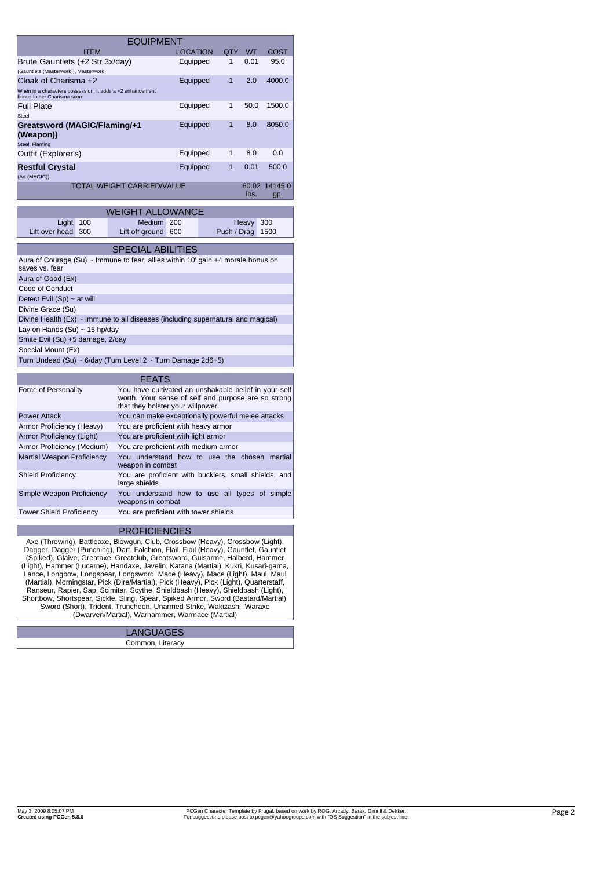|                                                                                                                                                                                                                                                                                                                                                                                                                            | <b>EQUIPMENT</b>                                                                         |                                                                  |             |               |               |  |
|----------------------------------------------------------------------------------------------------------------------------------------------------------------------------------------------------------------------------------------------------------------------------------------------------------------------------------------------------------------------------------------------------------------------------|------------------------------------------------------------------------------------------|------------------------------------------------------------------|-------------|---------------|---------------|--|
| <b>ITEM</b>                                                                                                                                                                                                                                                                                                                                                                                                                |                                                                                          | <b>LOCATION</b>                                                  | QTY         | WT            | COST          |  |
| Brute Gauntlets (+2 Str 3x/day)                                                                                                                                                                                                                                                                                                                                                                                            |                                                                                          | Equipped                                                         | 1           | 0.01          | 95.0          |  |
| (Gauntlets (Masterwork)), Masterwork                                                                                                                                                                                                                                                                                                                                                                                       |                                                                                          |                                                                  |             |               |               |  |
| Cloak of Charisma +2                                                                                                                                                                                                                                                                                                                                                                                                       |                                                                                          | Equipped                                                         | 1           | 2.0           | 4000.0        |  |
| When in a characters possession, it adds a +2 enhancement<br>bonus to her Charisma score                                                                                                                                                                                                                                                                                                                                   |                                                                                          |                                                                  |             |               |               |  |
| <b>Full Plate</b><br>Steel                                                                                                                                                                                                                                                                                                                                                                                                 |                                                                                          | Equipped                                                         | 1           | 50.0          | 1500.0        |  |
| Greatsword (MAGIC/Flaming/+1                                                                                                                                                                                                                                                                                                                                                                                               |                                                                                          | Equipped                                                         | 1           | 8.0           | 8050.0        |  |
| (Weapon))<br>Steel, Flaming                                                                                                                                                                                                                                                                                                                                                                                                |                                                                                          |                                                                  |             |               |               |  |
| Outfit (Explorer's)                                                                                                                                                                                                                                                                                                                                                                                                        |                                                                                          | Equipped                                                         | 1           | 8.0           | 0.0           |  |
| <b>Restful Crystal</b><br>(Art (MAGIC))                                                                                                                                                                                                                                                                                                                                                                                    |                                                                                          | Equipped                                                         | 1           | 0.01          | 500.0         |  |
|                                                                                                                                                                                                                                                                                                                                                                                                                            | TOTAL WEIGHT CARRIED/VALUE                                                               |                                                                  |             | 60.02<br>lbs. | 14145.0<br>gp |  |
|                                                                                                                                                                                                                                                                                                                                                                                                                            |                                                                                          |                                                                  |             |               |               |  |
|                                                                                                                                                                                                                                                                                                                                                                                                                            | <b>WEIGHT ALLOWANCE</b><br>Medium 200                                                    |                                                                  |             |               |               |  |
| Light<br>100<br>Lift over head<br>300                                                                                                                                                                                                                                                                                                                                                                                      | Lift off ground 600                                                                      |                                                                  | Push / Drag | Heavy         | 300<br>1500   |  |
|                                                                                                                                                                                                                                                                                                                                                                                                                            | <b>SPECIAL ABILITIES</b>                                                                 |                                                                  |             |               |               |  |
| Aura of Courage (Su) ~ Immune to fear, allies within 10' gain +4 morale bonus on<br>saves vs. fear                                                                                                                                                                                                                                                                                                                         |                                                                                          |                                                                  |             |               |               |  |
| Aura of Good (Ex)                                                                                                                                                                                                                                                                                                                                                                                                          |                                                                                          |                                                                  |             |               |               |  |
| Code of Conduct                                                                                                                                                                                                                                                                                                                                                                                                            |                                                                                          |                                                                  |             |               |               |  |
| Detect Evil $(Sp) \sim at$ will                                                                                                                                                                                                                                                                                                                                                                                            |                                                                                          |                                                                  |             |               |               |  |
| Divine Grace (Su)                                                                                                                                                                                                                                                                                                                                                                                                          |                                                                                          |                                                                  |             |               |               |  |
| Divine Health (Ex) ~ Immune to all diseases (including supernatural and magical)                                                                                                                                                                                                                                                                                                                                           |                                                                                          |                                                                  |             |               |               |  |
| Lay on Hands (Su) ~ 15 hp/day                                                                                                                                                                                                                                                                                                                                                                                              |                                                                                          |                                                                  |             |               |               |  |
| Smite Evil (Su) +5 damage, 2/day                                                                                                                                                                                                                                                                                                                                                                                           |                                                                                          |                                                                  |             |               |               |  |
| Special Mount (Ex)                                                                                                                                                                                                                                                                                                                                                                                                         |                                                                                          |                                                                  |             |               |               |  |
| Turn Undead (Su) ~ 6/day (Turn Level 2 ~ Turn Damage 2d6+5)                                                                                                                                                                                                                                                                                                                                                                |                                                                                          |                                                                  |             |               |               |  |
| <b>FEATS</b>                                                                                                                                                                                                                                                                                                                                                                                                               |                                                                                          |                                                                  |             |               |               |  |
| Force of Personality                                                                                                                                                                                                                                                                                                                                                                                                       | You have cultivated an unshakable belief in your self                                    |                                                                  |             |               |               |  |
|                                                                                                                                                                                                                                                                                                                                                                                                                            | worth. Your sense of self and purpose are so strong<br>that they bolster your willpower. |                                                                  |             |               |               |  |
| <b>Power Attack</b>                                                                                                                                                                                                                                                                                                                                                                                                        | You can make exceptionally powerful melee attacks                                        |                                                                  |             |               |               |  |
| Armor Proficiency (Heavy)                                                                                                                                                                                                                                                                                                                                                                                                  | You are proficient with heavy armor                                                      |                                                                  |             |               |               |  |
| Armor Proficiency (Light)                                                                                                                                                                                                                                                                                                                                                                                                  | You are proficient with light armor                                                      |                                                                  |             |               |               |  |
| Armor Proficiency (Medium)                                                                                                                                                                                                                                                                                                                                                                                                 | You are proficient with medium armor                                                     |                                                                  |             |               |               |  |
| <b>Martial Weapon Proficiency</b>                                                                                                                                                                                                                                                                                                                                                                                          |                                                                                          | You understand how to use the chosen martial<br>weapon in combat |             |               |               |  |
| <b>Shield Proficiency</b>                                                                                                                                                                                                                                                                                                                                                                                                  | large shields                                                                            | You are proficient with bucklers, small shields, and             |             |               |               |  |
| Simple Weapon Proficiency                                                                                                                                                                                                                                                                                                                                                                                                  | weapons in combat                                                                        | You understand how to use all types of simple                    |             |               |               |  |
| <b>Tower Shield Proficiency</b><br>You are proficient with tower shields                                                                                                                                                                                                                                                                                                                                                   |                                                                                          |                                                                  |             |               |               |  |
|                                                                                                                                                                                                                                                                                                                                                                                                                            | <b>PROFICIENCIES</b>                                                                     |                                                                  |             |               |               |  |
| Axe (Throwing), Battleaxe, Blowgun, Club, Crossbow (Heavy), Crossbow (Light),<br>Dagger, Dagger (Punching), Dart, Falchion, Flail, Flail (Heavy), Gauntlet, Gauntlet<br>(Spiked), Glaive, Greataxe, Greatclub, Greatsword, Guisarme, Halberd, Hammer<br>(Light), Hammer (Lucerne), Handaxe, Javelin, Katana (Martial), Kukri, Kusari-gama,<br>Lance, Longbow, Longspear, Longsword, Mace (Heavy), Mace (Light), Maul, Maul |                                                                                          |                                                                  |             |               |               |  |

Lance, Longbow, Longspear, Longsword, Mace (Heavy), Mace (Light), Maul, Maul (Martial), Morningstar, Pick (Dire/Martial), Pick (Heavy), Pick (Light), Quarterstaff, Ranseur, Rapier, Sap, Scimitar, Scythe, Shieldbash (Heavy)

| <b>LANGUAGES</b> |  |
|------------------|--|
| Common, Literacy |  |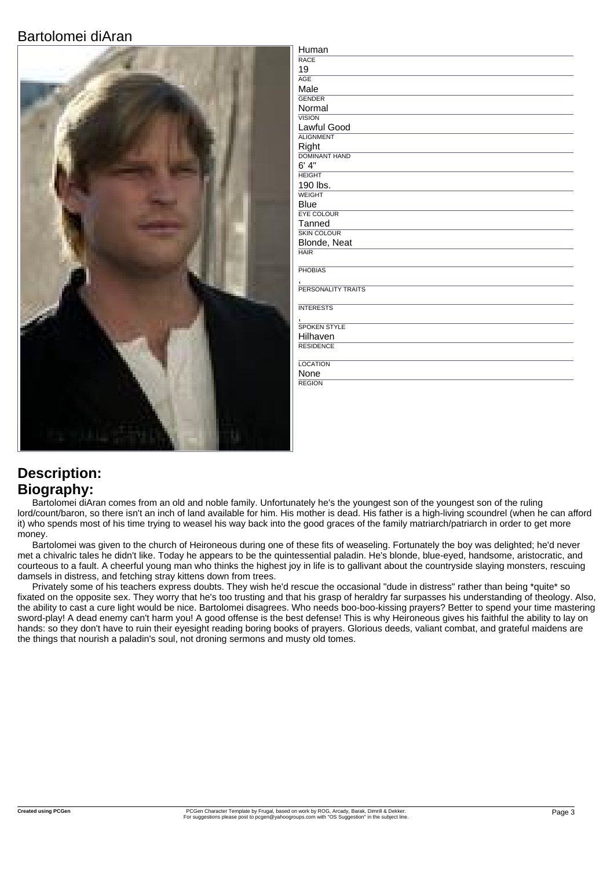## Bartolomei diAran



| Human                |
|----------------------|
| <b>RACE</b>          |
| 19                   |
| <b>AGE</b>           |
| Male                 |
| <b>GENDER</b>        |
| Normal               |
| <b>VISION</b>        |
| Lawful Good          |
| <b>ALIGNMENT</b>     |
| Right                |
| <b>DOMINANT HAND</b> |
| 6' 4''               |
| <b>HEIGHT</b>        |
| 190 lbs.             |
| <b>WEIGHT</b>        |
| <b>Blue</b>          |
| <b>EYE COLOUR</b>    |
| Tanned               |
| <b>SKIN COLOUR</b>   |
| Blonde, Neat         |
| <b>HAIR</b>          |
| <b>PHOBIAS</b>       |
|                      |
| PERSONALITY TRAITS   |
|                      |
| <b>INTERESTS</b>     |
|                      |
| <b>SPOKEN STYLE</b>  |
| Hilhaven             |
| <b>RESIDENCE</b>     |
|                      |
| <b>LOCATION</b>      |
| None                 |
| <b>REGION</b>        |
|                      |

## **Description: Biography:**

Bartolomei diAran comes from an old and noble family. Unfortunately he's the youngest son of the youngest son of the ruling lord/count/baron, so there isn't an inch of land available for him. His mother is dead. His father is a high-living scoundrel (when he can afford it) who spends most of his time trying to weasel his way back into the good graces of the family matriarch/patriarch in order to get more money.

Bartolomei was given to the church of Heironeous during one of these fits of weaseling. Fortunately the boy was delighted; he'd never met a chivalric tales he didn't like. Today he appears to be the quintessential paladin. He's blonde, blue-eyed, handsome, aristocratic, and courteous to a fault. A cheerful young man who thinks the highest joy in life is to gallivant about the countryside slaying monsters, rescuing damsels in distress, and fetching stray kittens down from trees.

Privately some of his teachers express doubts. They wish he'd rescue the occasional "dude in distress" rather than being \*quite\* so fixated on the opposite sex. They worry that he's too trusting and that his grasp of heraldry far surpasses his understanding of theology. Also, the ability to cast a cure light would be nice. Bartolomei disagrees. Who needs boo-boo-kissing prayers? Better to spend your time mastering sword-play! A dead enemy can't harm you! A good offense is the best defense! This is why Heironeous gives his faithful the ability to lay on hands: so they don't have to ruin their eyesight reading boring books of prayers. Glorious deeds, valiant combat, and grateful maidens are the things that nourish a paladin's soul, not droning sermons and musty old tomes.